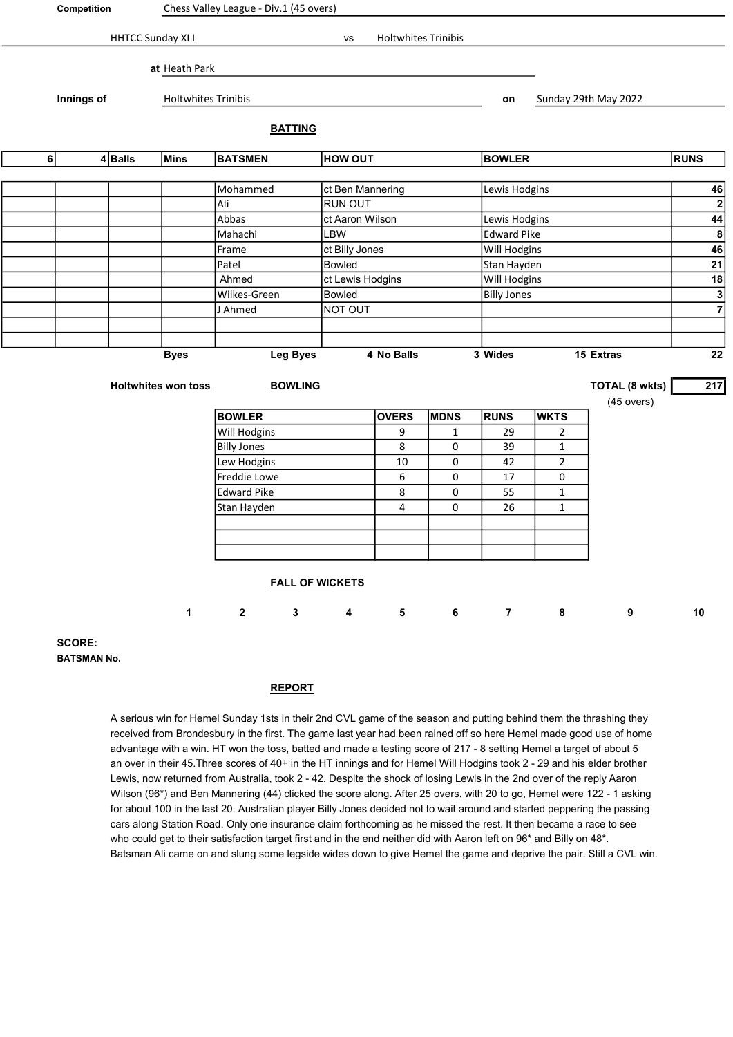|         | Competition   |                   | Chess Valley League - Div.1 (45 overs) |                          |                 |                        |                     |              |                    |                    |                      |                           |
|---------|---------------|-------------------|----------------------------------------|--------------------------|-----------------|------------------------|---------------------|--------------|--------------------|--------------------|----------------------|---------------------------|
|         |               | HHTCC Sunday XI I |                                        |                          |                 | VS                     | Holtwhites Trinibis |              |                    |                    |                      |                           |
|         |               |                   | at Heath Park                          |                          |                 |                        |                     |              |                    |                    |                      |                           |
|         | Innings of    |                   | <b>Holtwhites Trinibis</b>             |                          |                 |                        |                     |              | on                 |                    | Sunday 29th May 2022 |                           |
|         |               |                   |                                        |                          | <b>BATTING</b>  |                        |                     |              |                    |                    |                      |                           |
| $\bf 6$ |               | $4$ Balls         | <b>Mins</b>                            | <b>BATSMEN</b>           |                 | <b>HOW OUT</b>         |                     |              | <b>BOWLER</b>      |                    |                      | <b>RUNS</b>               |
|         |               |                   |                                        |                          |                 |                        |                     |              |                    |                    |                      |                           |
|         |               |                   |                                        | Mohammed                 |                 | ct Ben Mannering       |                     |              | Lewis Hodgins      |                    |                      | 46                        |
|         |               |                   |                                        | Ali                      |                 | RUN OUT                |                     |              |                    |                    |                      | $\boldsymbol{2}$          |
|         |               |                   |                                        | Abbas<br>ct Aaron Wilson |                 |                        |                     |              | Lewis Hodgins      |                    |                      | $\overline{44}$           |
|         |               |                   |                                        |                          | Mahachi<br>LBW  |                        |                     |              |                    | <b>Edward Pike</b> |                      | 8                         |
|         |               |                   |                                        | ct Billy Jones<br>Frame  |                 |                        |                     | Will Hodgins | 46                 |                    |                      |                           |
|         |               |                   |                                        | Patel                    | Bowled          |                        |                     |              | Stan Hayden        |                    |                      | 21                        |
|         |               |                   |                                        | Ahmed                    |                 | ct Lewis Hodgins       |                     |              | Will Hodgins       |                    |                      | $\underline{\mathbf{18}}$ |
|         |               |                   |                                        | Wilkes-Green             |                 | Bowled                 |                     |              | <b>Billy Jones</b> | $\frac{1}{7}$      |                      |                           |
|         |               |                   |                                        | J Ahmed                  |                 | NOT OUT                |                     |              |                    |                    |                      |                           |
|         |               |                   |                                        |                          |                 |                        |                     |              |                    |                    |                      |                           |
|         |               |                   |                                        |                          |                 |                        |                     |              |                    |                    |                      |                           |
|         |               |                   | <b>Byes</b>                            |                          | <b>Leg Byes</b> |                        | 4 No Balls          |              | 3 Wides            |                    | 15 Extras            | 22                        |
|         |               |                   | <b>Holtwhites won toss</b>             |                          | <b>BOWLING</b>  |                        |                     |              |                    |                    | TOTAL (8 wkts)       | 217                       |
|         |               |                   |                                        |                          |                 |                        |                     |              |                    |                    | $(45$ overs)         |                           |
|         |               |                   |                                        | <b>BOWLER</b>            |                 |                        | <b>OVERS</b>        | <b>MDNS</b>  | <b>RUNS</b>        | <b>WKTS</b>        |                      |                           |
|         |               |                   |                                        | Will Hodgins             |                 |                        | 9                   | $\mathbf{1}$ | 29                 | 2                  |                      |                           |
|         |               |                   |                                        | <b>Billy Jones</b>       |                 |                        | 8                   | 0            | 39                 | 1                  |                      |                           |
|         |               |                   |                                        | Lew Hodgins              |                 |                        | 10                  | 0            | 42                 | $\overline{2}$     |                      |                           |
|         |               |                   |                                        | Freddie Lowe             |                 |                        | 6                   | 0            | 17                 | 0                  |                      |                           |
|         |               |                   |                                        | <b>Edward Pike</b>       |                 |                        | 8                   | 0            | 55                 | $\mathbf{1}$       |                      |                           |
|         |               |                   |                                        | Stan Hayden              |                 |                        | 4                   | 0            | 26                 | $\mathbf{1}$       |                      |                           |
|         |               |                   |                                        |                          |                 |                        |                     |              |                    |                    |                      |                           |
|         |               |                   |                                        |                          |                 |                        |                     |              |                    |                    |                      |                           |
|         |               |                   |                                        |                          |                 |                        |                     |              |                    |                    |                      |                           |
|         |               |                   |                                        |                          |                 | <b>FALL OF WICKETS</b> |                     |              |                    |                    |                      |                           |
|         |               |                   | $\mathbf 1$                            | $\mathbf{2}$             | $\mathbf{3}$    | 4                      | $\mathbf{5}$        | 6            | $\overline{7}$     | 8                  | 9                    | $10$                      |
|         | <b>SCORE:</b> |                   |                                        |                          |                 |                        |                     |              |                    |                    |                      |                           |

BATSMAN No.

ſ

|<br>|

## REPORT

A serious win for Hemel Sunday 1sts in their 2nd CVL game of the season and putting behind them the thrashing they received from Brondesbury in the first. The game last year had been rained off so here Hemel made good use of home advantage with a win. HT won the toss, batted and made a testing score of 217 - 8 setting Hemel a target of about 5 an over in their 45.Three scores of 40+ in the HT innings and for Hemel Will Hodgins took 2 - 29 and his elder brother Lewis, now returned from Australia, took 2 - 42. Despite the shock of losing Lewis in the 2nd over of the reply Aaron Wilson (96\*) and Ben Mannering (44) clicked the score along. After 25 overs, with 20 to go, Hemel were 122 - 1 asking for about 100 in the last 20. Australian player Billy Jones decided not to wait around and started peppering the passing cars along Station Road. Only one insurance claim forthcoming as he missed the rest. It then became a race to see who could get to their satisfaction target first and in the end neither did with Aaron left on 96\* and Billy on 48\*. Batsman Ali came on and slung some legside wides down to give Hemel the game and deprive the pair. Still a CVL win.